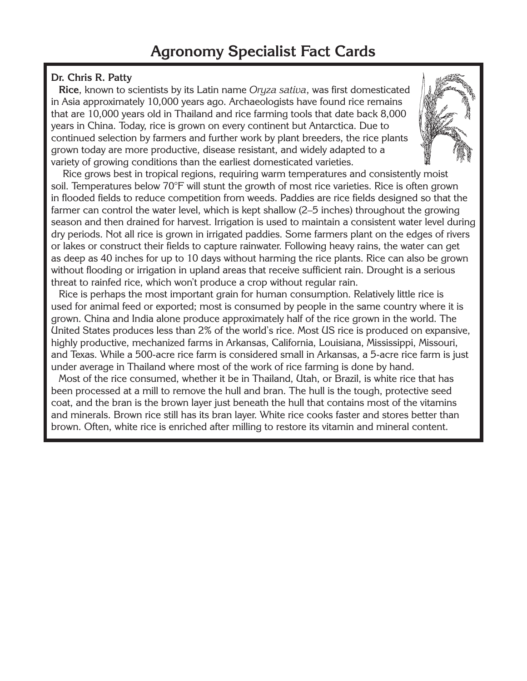### **Dr. Chris R. Patty**

**Rice**, known to scientists by its Latin name Oryza sativa, was first domesticated in Asia approximately 10,000 years ago. Archaeologists have found rice remains that are 10,000 years old in Thailand and rice farming tools that date back 8,000 years in China. Today, rice is grown on every continent but Antarctica. Due to continued selection by farmers and further work by plant breeders, the rice plants grown today are more productive, disease resistant, and widely adapted to a variety of growing conditions than the earliest domesticated varieties.

Rice grows best in tropical regions, requiring warm temperatures and consistently moist soil. Temperatures below 70°F will stunt the growth of most rice varieties. Rice is often grown in flooded fields to reduce competition from weeds. Paddies are rice fields designed so that the farmer can control the water level, which is kept shallow (2–5 inches) throughout the growing season and then drained for harvest. Irrigation is used to maintain a consistent water level during dry periods. Not all rice is grown in irrigated paddies. Some farmers plant on the edges of rivers or lakes or construct their fields to capture rainwater. Following heavy rains, the water can get as deep as 40 inches for up to 10 days without harming the rice plants. Rice can also be grown without flooding or irrigation in upland areas that receive sufficient rain. Drought is a serious threat to rainfed rice, which won't produce a crop without regular rain.

Rice is perhaps the most important grain for human consumption. Relatively little rice is used for animal feed or exported; most is consumed by people in the same country where it is grown. China and India alone produce approximately half of the rice grown in the world. The United States produces less than 2% of the world's rice. Most US rice is produced on expansive, highly productive, mechanized farms in Arkansas, California, Louisiana, Mississippi, Missouri, and Texas. While a 500-acre rice farm is considered small in Arkansas, a 5-acre rice farm is just under average in Thailand where most of the work of rice farming is done by hand.

Most of the rice consumed, whether it be in Thailand, Utah, or Brazil, is white rice that has been processed at a mill to remove the hull and bran. The hull is the tough, protective seed coat, and the bran is the brown layer just beneath the hull that contains most of the vitamins and minerals. Brown rice still has its bran layer. White rice cooks faster and stores better than brown. Often, white rice is enriched after milling to restore its vitamin and mineral content.

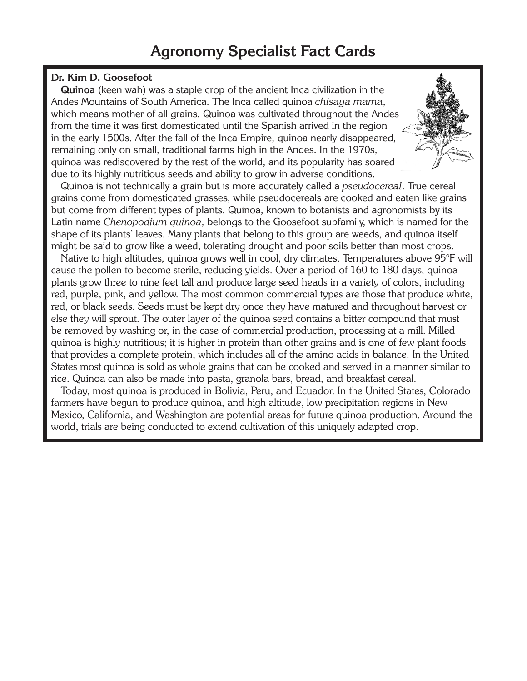### **Dr. Kim D. Goosefoot**

**Quinoa** (keen wah) was a staple crop of the ancient Inca civilization in the Andes Mountains of South America. The Inca called quinoa chisaya mama, which means mother of all grains. Quinoa was cultivated throughout the Andes from the time it was first domesticated until the Spanish arrived in the region in the early 1500s. After the fall of the Inca Empire, quinoa nearly disappeared, remaining only on small, traditional farms high in the Andes. In the 1970s, quinoa was rediscovered by the rest of the world, and its popularity has soared due to its highly nutritious seeds and ability to grow in adverse conditions.

Quinoa is not technically a grain but is more accurately called a *pseudocereal*. True cereal grains come from domesticated grasses, while pseudocereals are cooked and eaten like grains but come from different types of plants. Quinoa, known to botanists and agronomists by its Latin name Chenopodium quinoa, belongs to the Goosefoot subfamily, which is named for the shape of its plants' leaves. Many plants that belong to this group are weeds, and quinoa itself might be said to grow like a weed, tolerating drought and poor soils better than most crops.

Native to high altitudes, quinoa grows well in cool, dry climates. Temperatures above 95°F will cause the pollen to become sterile, reducing yields. Over a period of 160 to 180 days, quinoa plants grow three to nine feet tall and produce large seed heads in a variety of colors, including red, purple, pink, and yellow. The most common commercial types are those that produce white, red, or black seeds. Seeds must be kept dry once they have matured and throughout harvest or else they will sprout. The outer layer of the quinoa seed contains a bitter compound that must be removed by washing or, in the case of commercial production, processing at a mill. Milled quinoa is highly nutritious; it is higher in protein than other grains and is one of few plant foods that provides a complete protein, which includes all of the amino acids in balance. In the United States most quinoa is sold as whole grains that can be cooked and served in a manner similar to rice. Quinoa can also be made into pasta, granola bars, bread, and breakfast cereal.

Today, most quinoa is produced in Bolivia, Peru, and Ecuador. In the United States, Colorado farmers have begun to produce quinoa, and high altitude, low precipitation regions in New Mexico, California, and Washington are potential areas for future quinoa production. Around the world, trials are being conducted to extend cultivation of this uniquely adapted crop.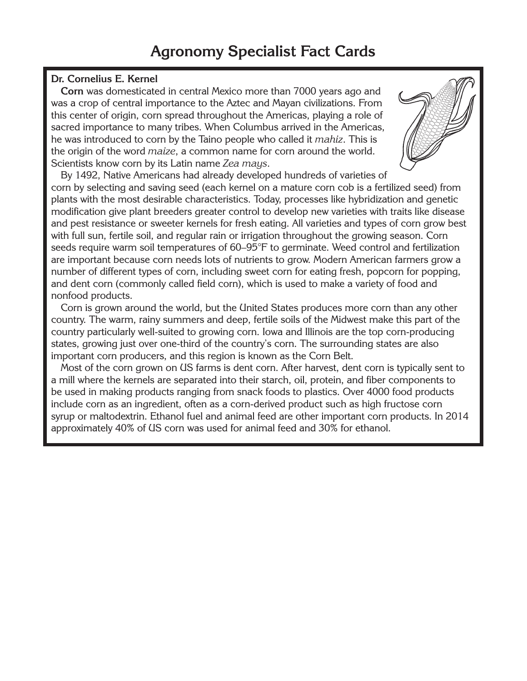#### **Dr. Cornelius E. Kernel**

**Corn** was domesticated in central Mexico more than 7000 years ago and was a crop of central importance to the Aztec and Mayan civilizations. From this center of origin, corn spread throughout the Americas, playing a role of sacred importance to many tribes. When Columbus arrived in the Americas, he was introduced to corn by the Taino people who called it *mahiz*. This is the origin of the word *maize*, a common name for corn around the world. Scientists know corn by its Latin name Zea mays.

By 1492, Native Americans had already developed hundreds of varieties of corn by selecting and saving seed (each kernel on a mature corn cob is a fertilized seed) from plants with the most desirable characteristics. Today, processes like hybridization and genetic modification give plant breeders greater control to develop new varieties with traits like disease and pest resistance or sweeter kernels for fresh eating. All varieties and types of corn grow best with full sun, fertile soil, and regular rain or irrigation throughout the growing season. Corn seeds require warm soil temperatures of 60–95°F to germinate. Weed control and fertilization are important because corn needs lots of nutrients to grow. Modern American farmers grow a number of different types of corn, including sweet corn for eating fresh, popcorn for popping, and dent corn (commonly called field corn), which is used to make a variety of food and nonfood products.

Corn is grown around the world, but the United States produces more corn than any other country. The warm, rainy summers and deep, fertile soils of the Midwest make this part of the country particularly well-suited to growing corn. Iowa and Illinois are the top corn-producing states, growing just over one-third of the country's corn. The surrounding states are also important corn producers, and this region is known as the Corn Belt.

Most of the corn grown on US farms is dent corn. After harvest, dent corn is typically sent to a mill where the kernels are separated into their starch, oil, protein, and fiber components to be used in making products ranging from snack foods to plastics. Over 4000 food products include corn as an ingredient, often as a corn-derived product such as high fructose corn syrup or maltodextrin. Ethanol fuel and animal feed are other important corn products. In 2014 approximately 40% of US corn was used for animal feed and 30% for ethanol.